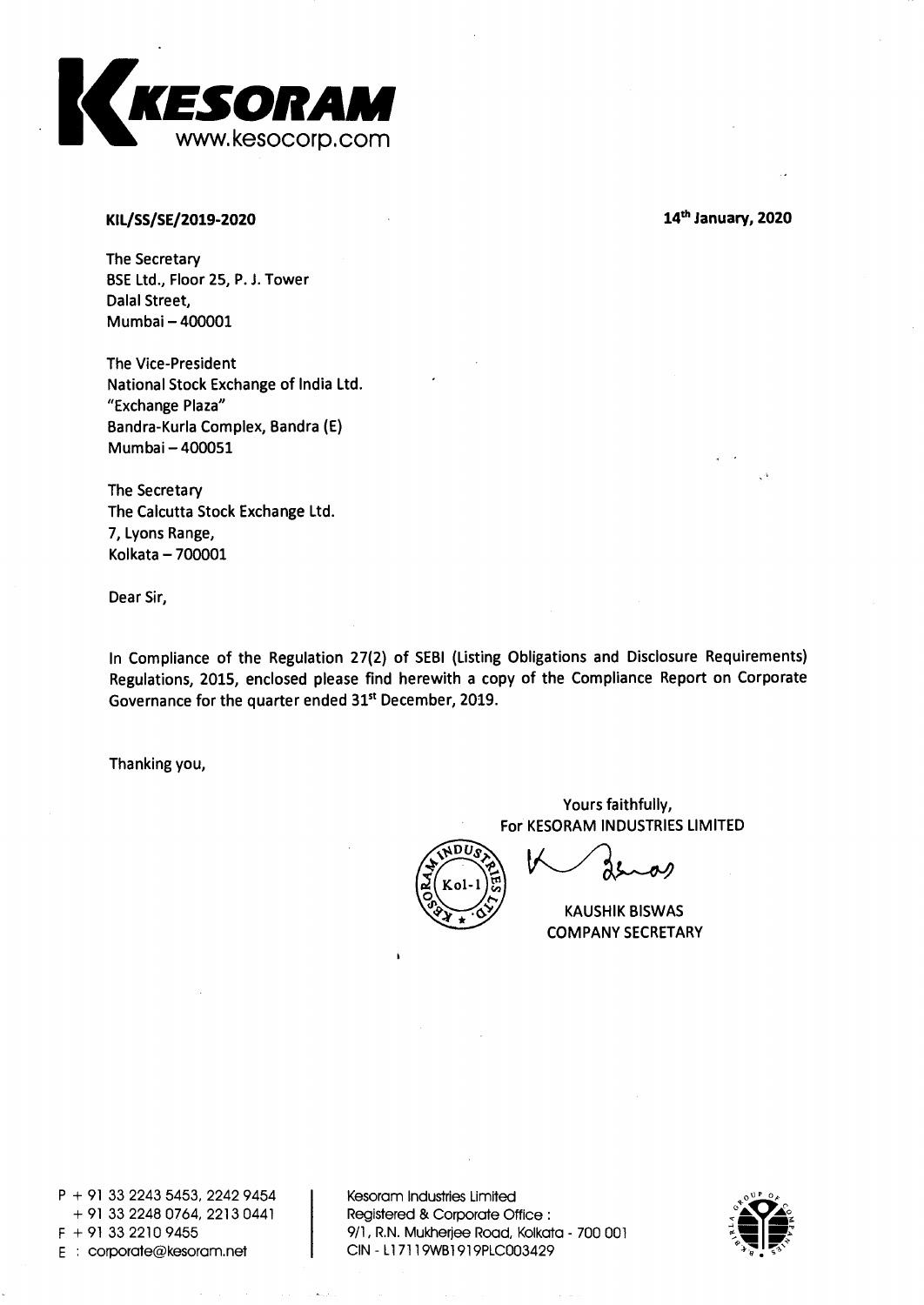

## **KIL/SS/SE/2019-2020**

**14th January, 2020** 

**The Secretary BSE Ltd., Floor 25, P. J. Tower Dalai Street, Mumbai — 400001** 

**The Vice-President National Stock Exchange of India Ltd. "Exchange Plaza" Bandra-Kurla Complex, Bandra (E) Mumbai — 400051** 

**The Secretary The Calcutta Stock Exchange Ltd. 7, Lyons Range, Kolkata — 700001** 

**Dear Sir,** 

**In Compliance of the Regulation 27(2) of SEBI (Listing Obligations and Disclosure Requirements) Regulations, 2015, enclosed please find herewith a copy of the Compliance Report on Corporate Governance for the quarter ended 31' December, 2019.** 

**Thanking you,** 

**Yours faithfully, For KESORAM INDUSTRIES LIMITED** 



**KAUSHIK BISWAS COMPANY SECRETARY** 

**P + 91 33 2243 5453, 2242 9454 + 91 33 2248 0764, 2213 0441 F + 91 33 2210 9455 E corporate@kesoram.net** 

**Kesoram Industries Limited Registered & Corporate Office : 9/1, R.N. Mukherjee Road, Kolkata - 700 001 CIN - Ll 7119WB1919PLC003429** 

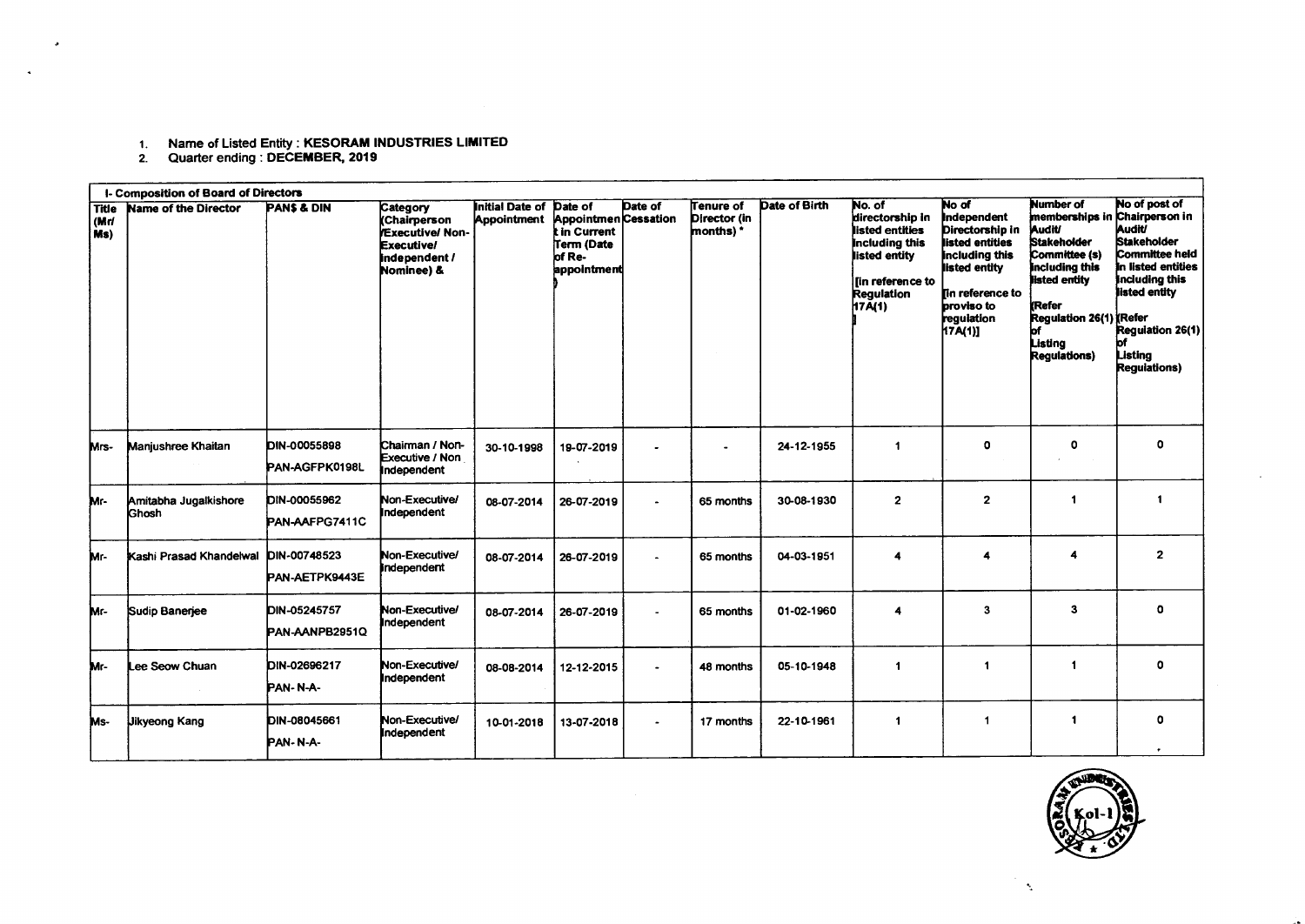## Name of Listed Entity : **KESORAM INDUSTRIES LIMITED**

1. Name of Listed Entity : **RESORAM II**<br>2. Quarter ending : **DECEMBER, 2019** 

| I- Composition of Board of Directors |                                |                                       |                                                                                                       |                                              |                                                                                        |                       |                                        |               |                                                                                                                                     |                                                                                                                                                                 |                                                                                                                                                                                                                            |                                                                                                                                                                                            |
|--------------------------------------|--------------------------------|---------------------------------------|-------------------------------------------------------------------------------------------------------|----------------------------------------------|----------------------------------------------------------------------------------------|-----------------------|----------------------------------------|---------------|-------------------------------------------------------------------------------------------------------------------------------------|-----------------------------------------------------------------------------------------------------------------------------------------------------------------|----------------------------------------------------------------------------------------------------------------------------------------------------------------------------------------------------------------------------|--------------------------------------------------------------------------------------------------------------------------------------------------------------------------------------------|
| <b>Title</b><br>(Mrl<br>i Ms)        | <b>Name of the Director</b>    | <b>PANS &amp; DIN</b>                 | Category<br>(Chairperson<br><b>Executive/Non-</b><br><b>Executive/</b><br>independent /<br>Nominee) & | <b>Initial Date of</b><br><b>Appointment</b> | Date of<br>Appointmen Cessation<br>t in Current<br>Term (Date<br>of Re-<br>appointment | Date of               | Tenure of<br>Director (in<br>months) * | Date of Birth | No. of<br>directorship in<br>listed entities<br>including this<br>listed entity<br>llin reference to<br><b>Regulation</b><br>17A(1) | No of<br>Independent<br>Directorship in<br>listed entities<br>Including this<br>listed entity<br>lin reference to<br><b>proviso</b> to<br>requiation<br>17A(1)] | <b>Number of</b><br>memberships in Chairperson in<br><b>Audit/</b><br><b>Stakeholder</b><br>Committee (s)<br>including this<br>listed entity<br><b>KRefer</b><br>Regulation 26(1) (Refer<br>Listina<br><b>Regulations)</b> | No of post of<br>Audit<br><b>Stakeholder</b><br>Committee held<br>In listed entities<br><b>Including this</b><br>listed entity<br>Requiation 26(1)<br>bf<br>Listina<br><b>Requiations)</b> |
| Mrs-                                 | Manjushree Khaitan             | <b>DIN-00055898</b><br>PAN-AGFPK0198L | Chairman / Non-<br>Executive / Non<br>Independent                                                     | 30-10-1998                                   | 19-07-2019                                                                             |                       |                                        | 24-12-1955    | -1                                                                                                                                  | 0                                                                                                                                                               | o                                                                                                                                                                                                                          | $\Omega$                                                                                                                                                                                   |
| Mr-                                  | Amitabha Jugalkishore<br>Ghosh | DIN-00055962<br>PAN-AAFPG7411C        | Non-Executive/<br>Independent                                                                         | 08-07-2014                                   | 26-07-2019                                                                             |                       | 65 months                              | 30-08-1930    | $\mathbf{2}$                                                                                                                        | $\overline{2}$                                                                                                                                                  | 1                                                                                                                                                                                                                          | $\blacktriangleleft$                                                                                                                                                                       |
| Mr-                                  | Kashi Prasad Khandelwal        | DIN-00748523<br>PAN-AETPK9443E        | Non-Executive/<br>independent                                                                         | 08-07-2014                                   | 26-07-2019                                                                             |                       | 65 months                              | 04-03-1951    | 4                                                                                                                                   | 4                                                                                                                                                               | Δ                                                                                                                                                                                                                          | $\mathbf{2}$                                                                                                                                                                               |
| Mr-                                  | Sudip Banerjee                 | <b>DIN-05245757</b><br>PAN-AANPB2951Q | Non-Executive/<br>Independent                                                                         | 08-07-2014                                   | 26-07-2019                                                                             |                       | 65 months                              | 01-02-1960    | 4                                                                                                                                   | 3                                                                                                                                                               | 3                                                                                                                                                                                                                          | $\mathbf o$                                                                                                                                                                                |
| Mr-                                  | Lee Seow Chuan                 | DIN-02696217<br>PAN-N-A-              | Non-Executive/<br>Independent                                                                         | 08-08-2014                                   | 12-12-2015                                                                             | ٠                     | 48 months                              | 05-10-1948    | -1                                                                                                                                  | $\mathbf{1}$                                                                                                                                                    |                                                                                                                                                                                                                            | $\circ$                                                                                                                                                                                    |
| Ms-                                  | <b>Jikyeong Kang</b>           | DIN-08045661<br>PAN-N-A-              | Non-Executive/<br><b>Independent</b>                                                                  | 10-01-2018                                   | 13-07-2018                                                                             | $\tilde{\phantom{a}}$ | 17 months                              | 22-10-1961    | $\blacktriangleleft$                                                                                                                | $\mathbf{1}$                                                                                                                                                    | 1                                                                                                                                                                                                                          | $\Omega$                                                                                                                                                                                   |



A.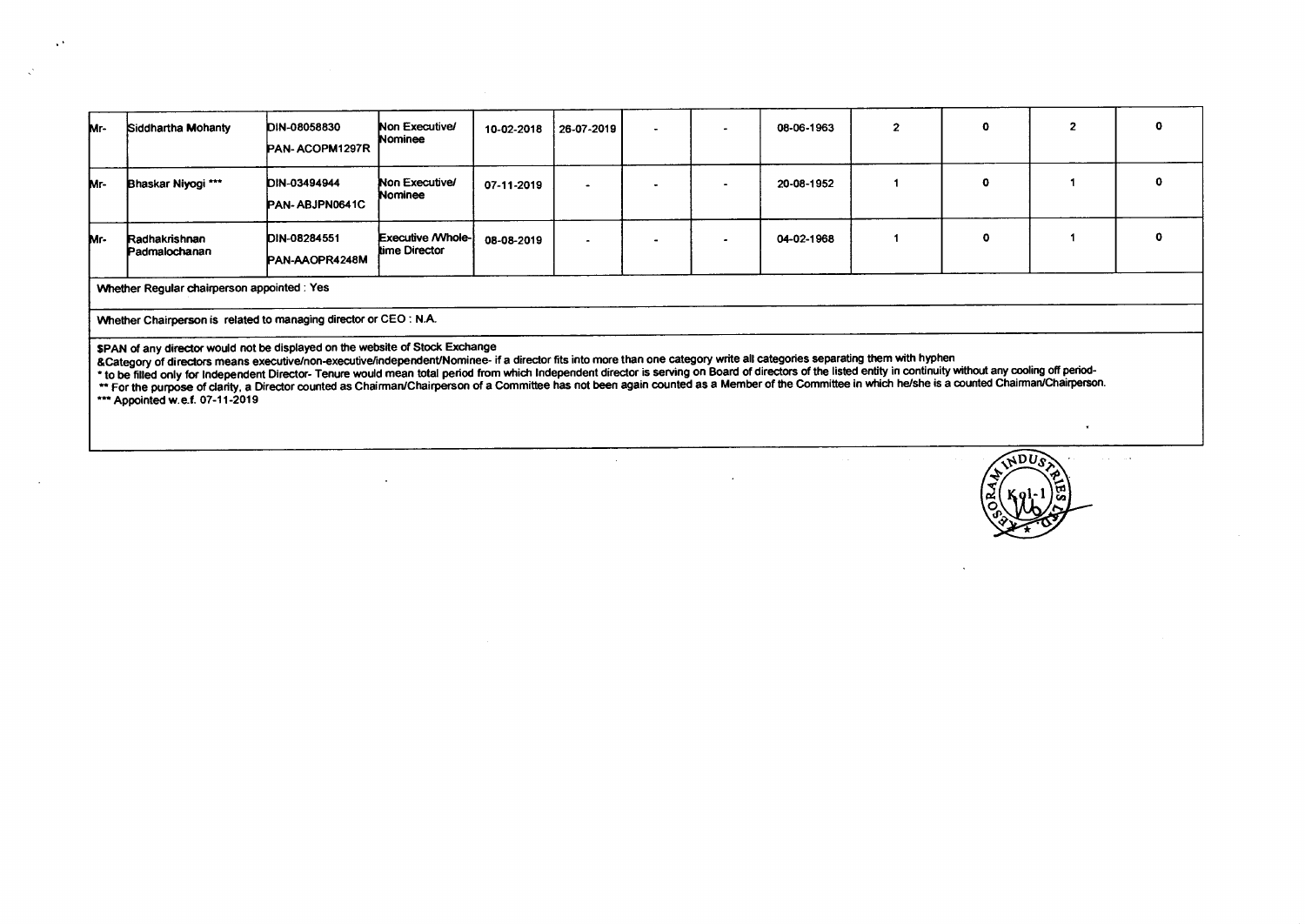| Mr-                                                                                                                                                                                                                                                                                                                                                                                                                                                                                                                                                                                                                                                                                                                       | Siddhartha Mohanty             | DIN-08058830<br>PAN-ACOPM1297R | Non Executive/<br>Nominee                  | 10-02-2018 | 26-07-2019 |  |  | 08-06-1963 |  |   | o        |
|---------------------------------------------------------------------------------------------------------------------------------------------------------------------------------------------------------------------------------------------------------------------------------------------------------------------------------------------------------------------------------------------------------------------------------------------------------------------------------------------------------------------------------------------------------------------------------------------------------------------------------------------------------------------------------------------------------------------------|--------------------------------|--------------------------------|--------------------------------------------|------------|------------|--|--|------------|--|---|----------|
| Mr-                                                                                                                                                                                                                                                                                                                                                                                                                                                                                                                                                                                                                                                                                                                       | Bhaskar Niyogi ***             | DIN-03494944<br>PAN-ABJPN0641C | Non Executive/<br>Nominee                  | 07-11-2019 |            |  |  | 20-08-1952 |  | ŋ | $\Omega$ |
| Mr-                                                                                                                                                                                                                                                                                                                                                                                                                                                                                                                                                                                                                                                                                                                       | Radhakrishnan<br>Padmalochanan | DIN-08284551<br>PAN-AAOPR4248M | <b>Executive / Whole-</b><br>time Director | 08-08-2019 |            |  |  | 04-02-1968 |  |   |          |
| Whether Regular chairperson appointed : Yes                                                                                                                                                                                                                                                                                                                                                                                                                                                                                                                                                                                                                                                                               |                                |                                |                                            |            |            |  |  |            |  |   |          |
| Whether Chairperson is related to managing director or CEO : N.A.                                                                                                                                                                                                                                                                                                                                                                                                                                                                                                                                                                                                                                                         |                                |                                |                                            |            |            |  |  |            |  |   |          |
| \$PAN of any director would not be displayed on the website of Stock Exchange<br>& Category of directors means executive/non-executive/independent/Nominee- if a director fits into more than one category write all categories separating them with hyphen<br>* to be filled only for Independent Director- Tenure would mean total period from which Independent director is serving on Board of directors of the listed entity in continuity without any cooling off period-<br>** For the purpose of clarity, a Director counted as Chairman/Chairperson of a Committee has not been again counted as a Member of the Committee in which he/she is a counted Chairman/Chairperson.<br>*** Appointed w.e.f. 07-11-2019 |                                |                                |                                            |            |            |  |  |            |  |   |          |

 $\sim 10^7$ 

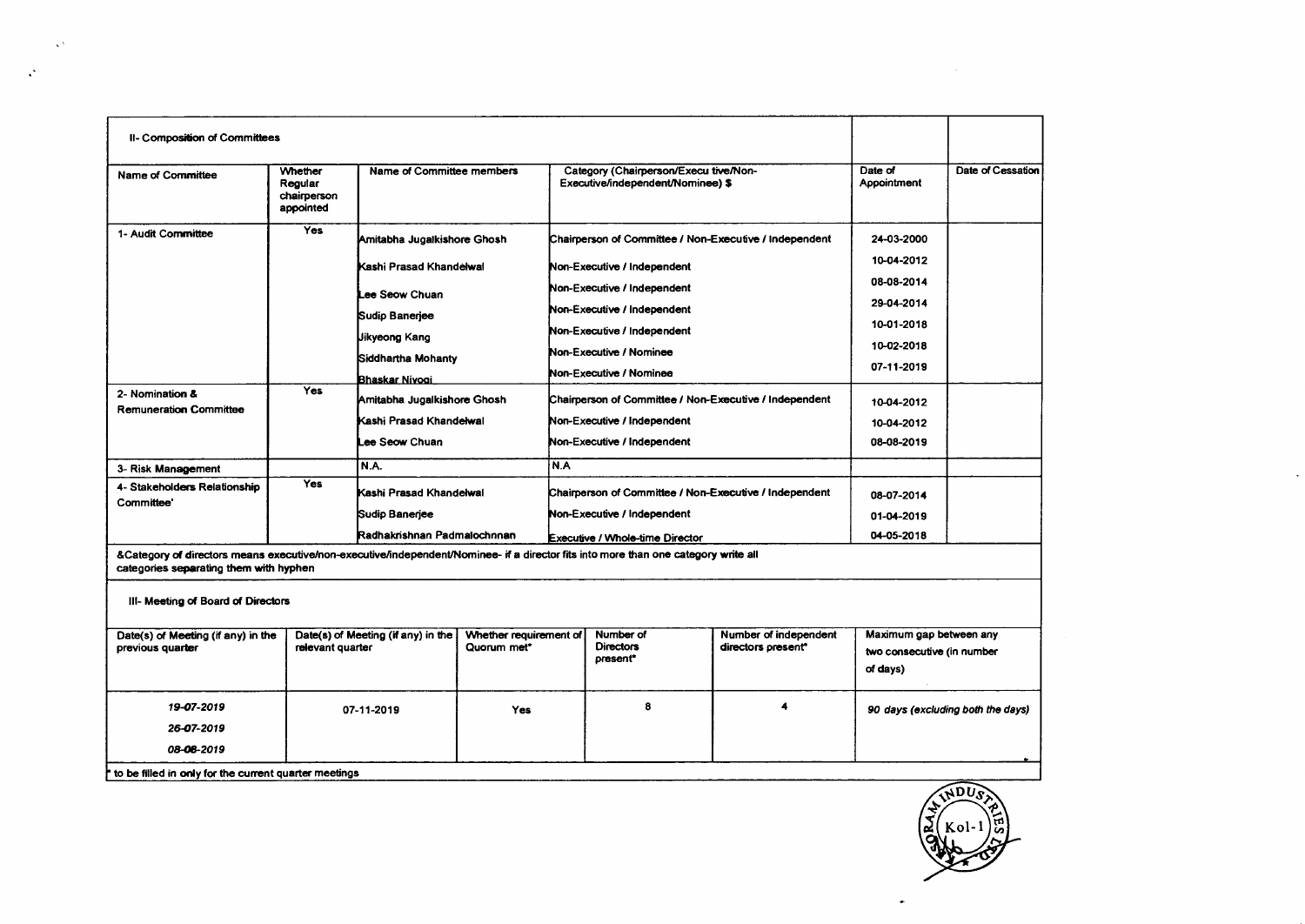| II- Composition of Committees                                                                                                                                                |                                                                                              |                                                                                                                             |                                       |                               |                                                                            |                        |                                        |  |
|------------------------------------------------------------------------------------------------------------------------------------------------------------------------------|----------------------------------------------------------------------------------------------|-----------------------------------------------------------------------------------------------------------------------------|---------------------------------------|-------------------------------|----------------------------------------------------------------------------|------------------------|----------------------------------------|--|
| <b>Name of Committee</b>                                                                                                                                                     | Whether<br>Regular<br>chairperson<br>appointed                                               | Name of Committee members                                                                                                   |                                       |                               | Category (Chairperson/Execu tive/Non-<br>Executive/independent/Nominee) \$ | Date of<br>Appointment | Date of Cessation                      |  |
| 1- Audit Committee                                                                                                                                                           | Yes<br>Amitabha Jugalkishore Ghosh<br>Chairperson of Committee / Non-Executive / Independent |                                                                                                                             |                                       |                               |                                                                            | 24-03-2000             |                                        |  |
|                                                                                                                                                                              |                                                                                              | Kashi Prasad Khandelwal<br>Lee Seow Chuan<br>Sudip Banerjee<br><b>Jikyeong Kang</b><br>Siddhartha Mohanty<br>Bhaskar Nivogi |                                       |                               | Non-Executive / Independent                                                | 10-04-2012             |                                        |  |
|                                                                                                                                                                              |                                                                                              |                                                                                                                             |                                       |                               | Non-Executive / Independent                                                | 08-08-2014             |                                        |  |
|                                                                                                                                                                              |                                                                                              |                                                                                                                             |                                       |                               | Non-Executive / Independent                                                | 29-04-2014             |                                        |  |
|                                                                                                                                                                              |                                                                                              |                                                                                                                             |                                       |                               | Non-Executive / Independent                                                | 10-01-2018             |                                        |  |
|                                                                                                                                                                              |                                                                                              |                                                                                                                             |                                       |                               | Non-Executive / Nominee                                                    | 10-02-2018             |                                        |  |
|                                                                                                                                                                              |                                                                                              |                                                                                                                             |                                       |                               | Non-Executive / Nominee                                                    | 07-11-2019             |                                        |  |
| 2- Nomination &<br><b>Remuneration Committee</b>                                                                                                                             | <b>Yes</b>                                                                                   | Amitabha Jugalkishore Ghosh                                                                                                 |                                       |                               | Chairperson of Committee / Non-Executive / Independent                     | 10-04-2012             |                                        |  |
|                                                                                                                                                                              |                                                                                              | Kashi Prasad Khandelwal                                                                                                     |                                       |                               | Non-Executive / Independent                                                | 10-04-2012             |                                        |  |
|                                                                                                                                                                              |                                                                                              | Lee Seow Chuan                                                                                                              |                                       |                               | Non-Executive / Independent                                                | 08-08-2019             |                                        |  |
| 3- Risk Management                                                                                                                                                           |                                                                                              | N.A.                                                                                                                        |                                       |                               |                                                                            |                        |                                        |  |
| 4- Stakeholders Relationship<br>Committee'                                                                                                                                   | Yes                                                                                          | Kashi Prasad Khandelwal                                                                                                     |                                       |                               | Chairperson of Committee / Non-Executive / Independent                     | 08-07-2014             |                                        |  |
|                                                                                                                                                                              |                                                                                              | Sudip Banerjee                                                                                                              |                                       | Non-Executive / Independent   |                                                                            |                        | 01-04-2019                             |  |
|                                                                                                                                                                              |                                                                                              | Radhakrishnan Padmalochnnan                                                                                                 |                                       |                               | Executive / Whole-time Director                                            | 04-05-2018             |                                        |  |
| &Category of directors means executive/non-executive/independent/Nominee- if a director fits into more than one category write all<br>categories separating them with hyphen |                                                                                              |                                                                                                                             |                                       |                               |                                                                            |                        |                                        |  |
| III- Meeting of Board of Directors                                                                                                                                           |                                                                                              |                                                                                                                             |                                       |                               |                                                                            |                        |                                        |  |
| Date(s) of Meeting (if any) in the                                                                                                                                           |                                                                                              | Date(s) of Meeting (if any) in the                                                                                          | Whether requirement of<br>Quorum met* | Number of<br><b>Directors</b> |                                                                            | Number of independent  | Maximum gap between any                |  |
| previous quarter                                                                                                                                                             |                                                                                              | relevant quarter                                                                                                            |                                       |                               | present*                                                                   | directors present*     | two consecutive (in number<br>of days) |  |
| 8<br>19-07-2019<br>07-11-2019<br><b>Yes</b>                                                                                                                                  |                                                                                              |                                                                                                                             |                                       |                               |                                                                            |                        | 90 days (excluding both the days)      |  |
| 26-07-2019                                                                                                                                                                   |                                                                                              |                                                                                                                             |                                       |                               |                                                                            |                        |                                        |  |
| 08-08-2019                                                                                                                                                                   |                                                                                              |                                                                                                                             |                                       |                               |                                                                            |                        |                                        |  |
| he filled in poly for the current quarter me                                                                                                                                 |                                                                                              |                                                                                                                             |                                       |                               |                                                                            |                        |                                        |  |



 $\sim$ 

 $\mathcal{L}(\mathcal{L}(\mathcal{L}))$  and  $\mathcal{L}(\mathcal{L}(\mathcal{L}))$  . The contribution of the contribution of

**• to be filled in only for the current quarter meetings** 

the control of the control of the

 $\mathcal{L}^{\text{max}}$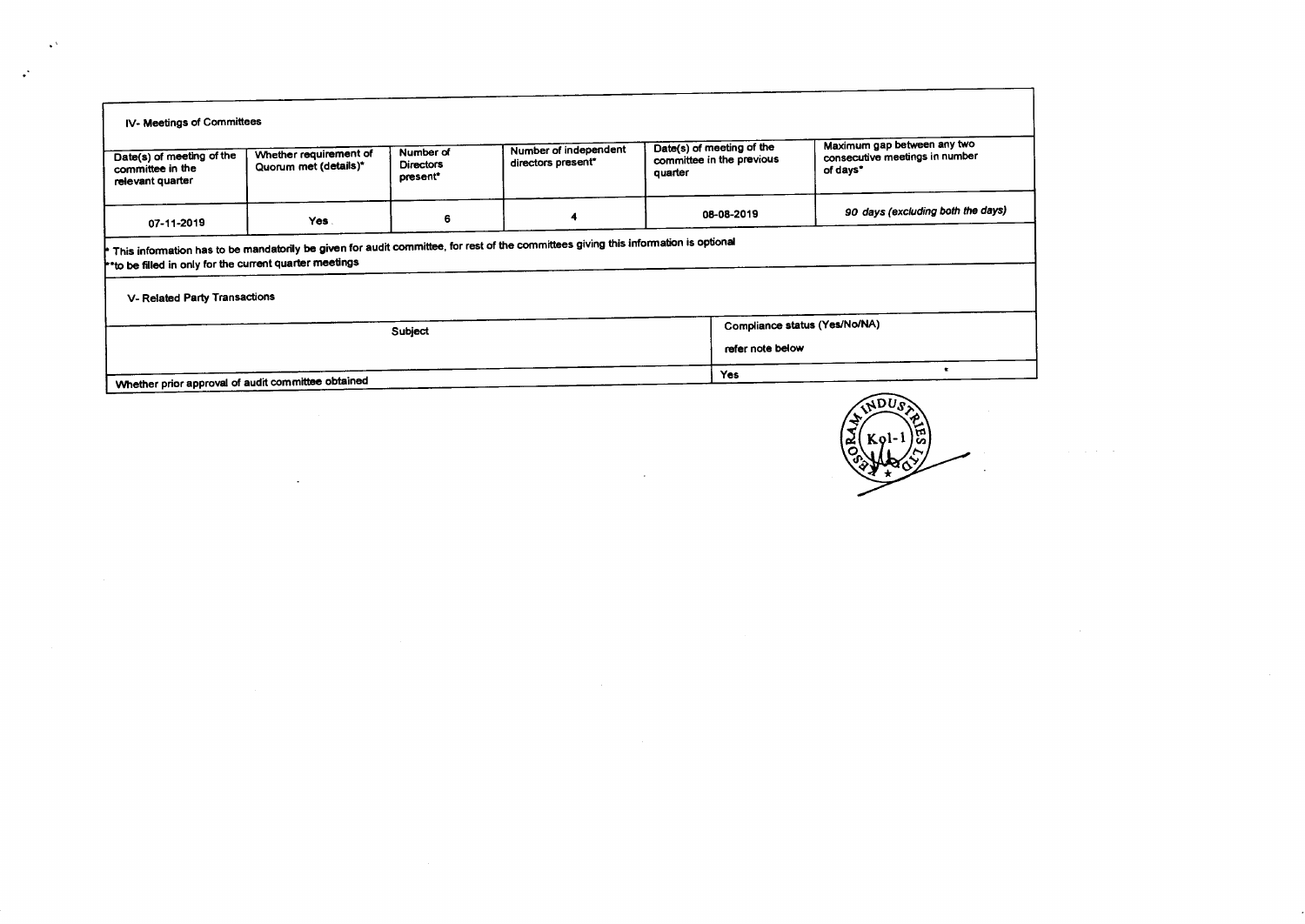| IV- Meetings of Committees                                                                                                          |                                                                    |                                           |                                             |         |                                                        |                                                                           |  |  |  |  |
|-------------------------------------------------------------------------------------------------------------------------------------|--------------------------------------------------------------------|-------------------------------------------|---------------------------------------------|---------|--------------------------------------------------------|---------------------------------------------------------------------------|--|--|--|--|
| Date(s) of meeting of the<br>committee in the<br>relevant quarter                                                                   | Whether requirement of<br>Quorum met (details)*                    | Number of<br><b>Directors</b><br>present* | Number of independent<br>directors present* | quarter | Date(s) of meeting of the<br>committee in the previous | Maximum gap between any two<br>consecutive meetings in number<br>of days* |  |  |  |  |
| 07-11-2019                                                                                                                          | 08-08-2019<br>4<br>6<br>Yes.                                       |                                           |                                             |         |                                                        | 90 days (excluding both the days)                                         |  |  |  |  |
| This information has to be mandatorily be given for audit committee, for rest of the committees giving this information is optional |                                                                    |                                           |                                             |         |                                                        |                                                                           |  |  |  |  |
|                                                                                                                                     | <sup>1</sup> to be filled in only for the current quarter meetings |                                           |                                             |         |                                                        |                                                                           |  |  |  |  |
| V- Related Party Transactions                                                                                                       |                                                                    |                                           |                                             |         |                                                        |                                                                           |  |  |  |  |
| Compliance status (Yes/No/NA)<br>Subject                                                                                            |                                                                    |                                           |                                             |         |                                                        |                                                                           |  |  |  |  |
| refer note below                                                                                                                    |                                                                    |                                           |                                             |         |                                                        |                                                                           |  |  |  |  |
| Yes<br>Whether prior approval of audit committee obtained                                                                           |                                                                    |                                           |                                             |         |                                                        |                                                                           |  |  |  |  |
|                                                                                                                                     |                                                                    |                                           |                                             |         |                                                        |                                                                           |  |  |  |  |

 $\sim 100$ 

 $\sim$ 

 $\mathbf{A}^{\mathbf{A}}$ 

 $\mathcal{L}$ 



 $\sim$